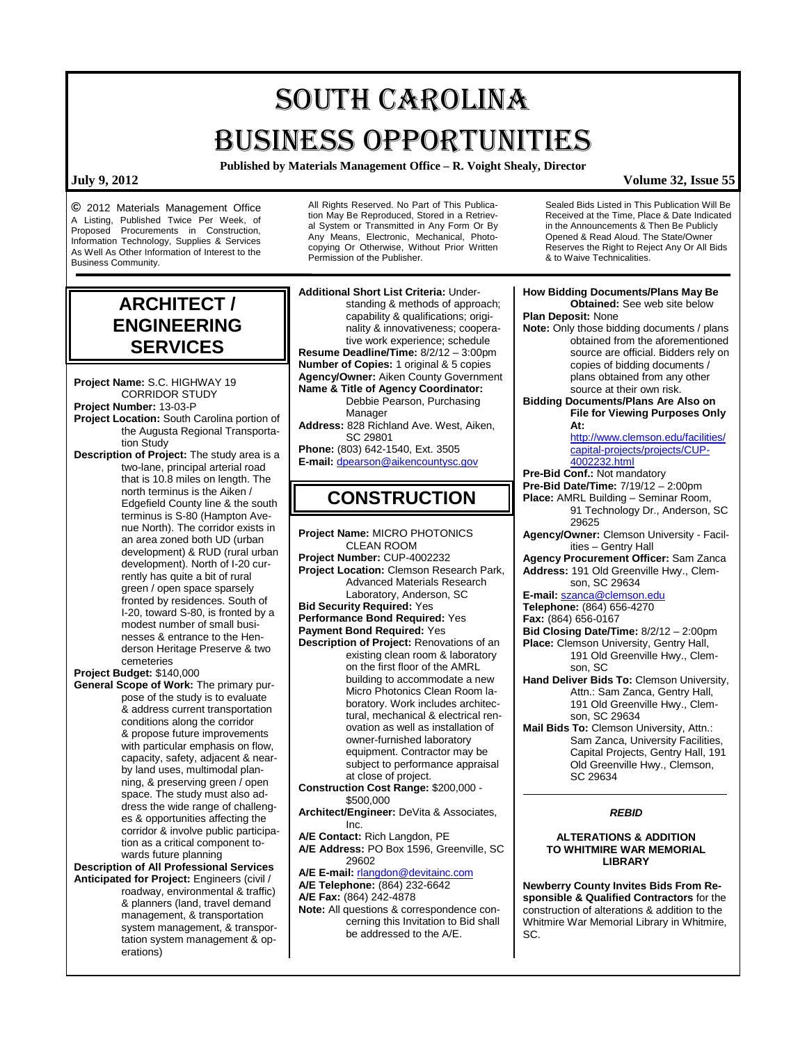# SOUTH CAROLINA BUSINESS OPPORTUNITIES

**Published by Materials Management Office – R. Voight Shealy, Director**

**©** 2012 Materials Management Office A Listing, Published Twice Per Week, of Proposed Procurements in Construction, Information Technology, Supplies & Services As Well As Other Information of Interest to the Business Community.

> **ARCHITECT / ENGINEERING SERVICES**

**Project Name:** S.C. HIGHWAY 19 CORRIDOR STUDY **Project Number:** 13-03-P **Project Location:** South Carolina portion of the Augusta Regional Transportation Study **Description of Project:** The study area is a

two-lane, principal arterial road that is 10.8 miles on length. The north terminus is the Aiken / Edgefield County line & the south terminus is S-80 (Hampton Avenue North). The corridor exists in an area zoned both UD (urban development) & RUD (rural urban development). North of I-20 currently has quite a bit of rural green / open space sparsely fronted by residences. South of I-20, toward S-80, is fronted by a modest number of small businesses & entrance to the Henderson Heritage Preserve & two cemeteries

**Project Budget:** \$140,000

**General Scope of Work:** The primary purpose of the study is to evaluate & address current transportation conditions along the corridor & propose future improvements with particular emphasis on flow, capacity, safety, adjacent & nearby land uses, multimodal planning, & preserving green / open space. The study must also address the wide range of challenges & opportunities affecting the corridor & involve public participation as a critical component towards future planning

**Description of All Professional Services Anticipated for Project:** Engineers (civil / roadway, environmental & traffic) & planners (land, travel demand management, & transportation system management, & transportation system management & operations)

All Rights Reserved. No Part of This Publication May Be Reproduced, Stored in a Retrieval System or Transmitted in Any Form Or By Any Means, Electronic, Mechanical, Photocopying Or Otherwise, Without Prior Written Permission of the Publisher.

Sealed Bids Listed in This Publication Will Be Received at the Time, Place & Date Indicated in the Announcements & Then Be Publicly Opened & Read Aloud. The State/Owner Reserves the Right to Reject Any Or All Bids & to Waive Technicalities.

| <b>How Bidding Documents/Plans May Be</b><br><b>Obtained:</b> See web site below<br>Plan Deposit: None<br>Note: Only those bidding documents / plans<br>obtained from the aforementioned<br>source are official. Bidders rely on<br>copies of bidding documents /<br>plans obtained from any other<br>source at their own risk.<br><b>Bidding Documents/Plans Are Also on</b><br><b>File for Viewing Purposes Only</b><br>At:<br>http://www.clemson.edu/facilities/<br>capital-projects/projects/CUP-<br>4002232.html<br>Pre-Bid Conf.: Not mandatory<br>Pre-Bid Date/Time: 7/19/12 - 2:00pm<br>Place: AMRL Building - Seminar Room,                                                                     |
|----------------------------------------------------------------------------------------------------------------------------------------------------------------------------------------------------------------------------------------------------------------------------------------------------------------------------------------------------------------------------------------------------------------------------------------------------------------------------------------------------------------------------------------------------------------------------------------------------------------------------------------------------------------------------------------------------------|
| 91 Technology Dr., Anderson, SC                                                                                                                                                                                                                                                                                                                                                                                                                                                                                                                                                                                                                                                                          |
| 29625<br>Agency/Owner: Clemson University - Facil-<br>ities - Gentry Hall<br>Agency Procurement Officer: Sam Zanca<br>Address: 191 Old Greenville Hwy., Clem-<br>son, SC 29634<br>E-mail: szanca@clemson.edu<br>Telephone: (864) 656-4270<br>Fax: (864) 656-0167<br>Bid Closing Date/Time: 8/2/12 - 2:00pm<br>Place: Clemson University, Gentry Hall,<br>191 Old Greenville Hwy., Clem-<br>son, SC<br>Hand Deliver Bids To: Clemson University,<br>Attn.: Sam Zanca, Gentry Hall,<br>191 Old Greenville Hwy., Clem-<br>son, SC 29634<br>Mail Bids To: Clemson University, Attn.:<br>Sam Zanca, University Facilities,<br>Capital Projects, Gentry Hall, 191<br>Old Greenville Hwy., Clemson,<br>SC 29634 |
| <b>REBID</b>                                                                                                                                                                                                                                                                                                                                                                                                                                                                                                                                                                                                                                                                                             |
| <b>ALTERATIONS &amp; ADDITION</b><br>TO WHITMIRE WAR MEMORIAL<br><b>LIBRARY</b><br>Newberry County Invites Bids From Re-<br>sponsible & Qualified Contractors for the<br>construction of alterations & addition to the<br>Whitmire War Memorial Library in Whitmire,<br>SC.                                                                                                                                                                                                                                                                                                                                                                                                                              |
|                                                                                                                                                                                                                                                                                                                                                                                                                                                                                                                                                                                                                                                                                                          |

**July 9, 2012 Volume 32, Issue 55**

- em-
- r<mark>ersity,</mark><br>all. Attn.: Sam Zanca, Gentry Hall, 191 Old Greenville Hwy., Clem-
- **Mail Bids To:** Clemson University, Attn.: lities, l, 191 Old Greenville Hwy., Clemson,

# **TO WHITMIRE WAR MEMORIAL**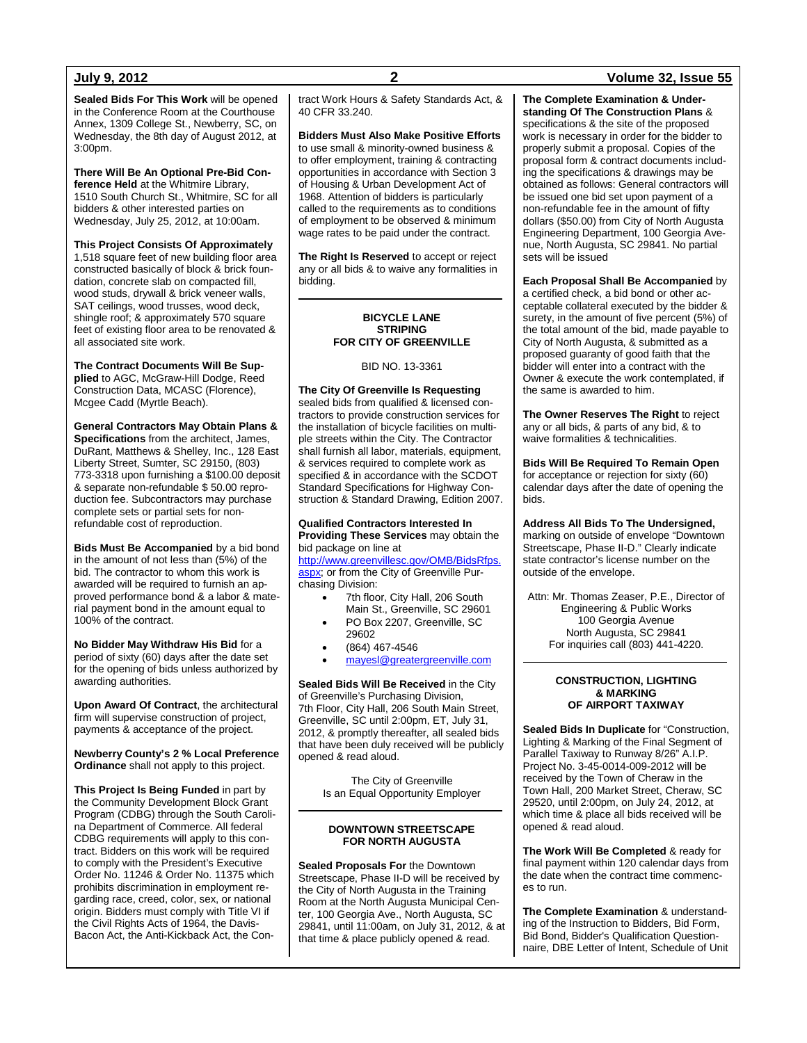**Sealed Bids For This Work** will be opened in the Conference Room at the Courthouse Annex, 1309 College St., Newberry, SC, on Wednesday, the 8th day of August 2012, at  $3:00$ pm.

**There Will Be An Optional Pre-Bid Conference Held** at the Whitmire Library, 1510 South Church St., Whitmire, SC for all bidders & other interested parties on Wednesday, July 25, 2012, at 10:00am.

**This Project Consists Of Approximately** 1,518 square feet of new building floor area constructed basically of block & brick foundation, concrete slab on compacted fill, wood studs, drywall & brick veneer walls, SAT ceilings, wood trusses, wood deck, shingle roof; & approximately 570 square feet of existing floor area to be renovated & all associated site work.

**The Contract Documents Will Be Supplied** to AGC, McGraw-Hill Dodge, Reed Construction Data, MCASC (Florence), Mcgee Cadd (Myrtle Beach).

**General Contractors May Obtain Plans & Specifications** from the architect, James, DuRant, Matthews & Shelley, Inc., 128 East Liberty Street, Sumter, SC 29150, (803) 773-3318 upon furnishing a \$100.00 deposit & separate non-refundable \$ 50.00 reproduction fee. Subcontractors may purchase complete sets or partial sets for nonrefundable cost of reproduction.

**Bids Must Be Accompanied** by a bid bond in the amount of not less than (5%) of the bid. The contractor to whom this work is awarded will be required to furnish an approved performance bond & a labor & material payment bond in the amount equal to 100% of the contract.

**No Bidder May Withdraw His Bid** for a period of sixty (60) days after the date set for the opening of bids unless authorized by awarding authorities.

**Upon Award Of Contract**, the architectural firm will supervise construction of project, payments & acceptance of the project.

**Newberry County's 2 % Local Preference Ordinance** shall not apply to this project.

**This Project Is Being Funded** in part by the Community Development Block Grant Program (CDBG) through the South Carolina Department of Commerce. All federal CDBG requirements will apply to this contract. Bidders on this work will be required to comply with the President's Executive Order No. 11246 & Order No. 11375 which prohibits discrimination in employment regarding race, creed, color, sex, or national origin. Bidders must comply with Title VI if the Civil Rights Acts of 1964, the Davis-Bacon Act, the Anti-Kickback Act, the Contract Work Hours & Safety Standards Act, & 40 CFR 33.240.

**Bidders Must Also Make Positive Efforts** to use small & minority-owned business & to offer employment, training & contracting opportunities in accordance with Section 3 of Housing & Urban Development Act of 1968. Attention of bidders is particularly called to the requirements as to conditions of employment to be observed & minimum wage rates to be paid under the contract.

**The Right Is Reserved** to accept or reject any or all bids & to waive any formalities in bidding.

#### **BICYCLE LANE STRIPING FOR CITY OF GREENVILLE**

BID NO. 13-3361

**The City Of Greenville Is Requesting** sealed bids from qualified & licensed contractors to provide construction services for the installation of bicycle facilities on multiple streets within the City. The Contractor shall furnish all labor, materials, equipment, & services required to complete work as specified & in accordance with the SCDOT Standard Specifications for Highway Construction & Standard Drawing, Edition 2007.

#### **Qualified Contractors Interested In Providing These Services** may obtain the bid package on line at

[http://www.greenvillesc.gov/OMB/BidsRfps.](http://www.greenvillesc.gov/OMB/BidsRfps.aspx) [aspx;](http://www.greenvillesc.gov/OMB/BidsRfps.aspx) or from the City of Greenville Purchasing Division:

7th floor, City Hall, 206 South Main St., Greenville, SC 29601

- PO Box 2207, Greenville, SC 29602
- (864) 467-4546
- [mayesl@greatergreenville.com](mailto:mayesl@greatergreenville.com)

**Sealed Bids Will Be Received** in the City of Greenville's Purchasing Division, 7th Floor, City Hall, 206 South Main Street, Greenville, SC until 2:00pm, ET, July 31, 2012, & promptly thereafter, all sealed bids that have been duly received will be publicly opened & read aloud.

> The City of Greenville Is an Equal Opportunity Employer

#### **DOWNTOWN STREETSCAPE FOR NORTH AUGUSTA**

**Sealed Proposals For** the Downtown Streetscape, Phase II-D will be received by the City of North Augusta in the Training Room at the North Augusta Municipal Center, 100 Georgia Ave., North Augusta, SC 29841, until 11:00am, on July 31, 2012, & at that time & place publicly opened & read.

### **July 9, 2012 2 Volume 32, Issue 55**

**The Complete Examination & Understanding Of The Construction Plans** & specifications & the site of the proposed work is necessary in order for the bidder to properly submit a proposal. Copies of the proposal form & contract documents including the specifications & drawings may be obtained as follows: General contractors will be issued one bid set upon payment of a non-refundable fee in the amount of fifty dollars (\$50.00) from City of North Augusta Engineering Department, 100 Georgia Avenue, North Augusta, SC 29841. No partial sets will be issued

**Each Proposal Shall Be Accompanied** by a certified check, a bid bond or other acceptable collateral executed by the bidder & surety, in the amount of five percent (5%) of the total amount of the bid, made payable to City of North Augusta, & submitted as a proposed guaranty of good faith that the bidder will enter into a contract with the Owner & execute the work contemplated, if the same is awarded to him.

**The Owner Reserves The Right** to reject any or all bids, & parts of any bid, & to waive formalities & technicalities.

**Bids Will Be Required To Remain Open** for acceptance or rejection for sixty (60) calendar days after the date of opening the bids.

**Address All Bids To The Undersigned,** marking on outside of envelope "Downtown Streetscape, Phase II-D." Clearly indicate state contractor's license number on the outside of the envelope.

Attn: Mr. Thomas Zeaser, P.E., Director of Engineering & Public Works 100 Georgia Avenue North Augusta, SC 29841 For inquiries call (803) 441-4220.

#### **CONSTRUCTION, LIGHTING & MARKING OF AIRPORT TAXIWAY**

**Sealed Bids In Duplicate** for "Construction, Lighting & Marking of the Final Segment of Parallel Taxiway to Runway 8/26" A.I.P. Project No. 3-45-0014-009-2012 will be received by the Town of Cheraw in the Town Hall, 200 Market Street, Cheraw, SC 29520, until 2:00pm, on July 24, 2012, at which time & place all bids received will be opened & read aloud.

**The Work Will Be Completed** & ready for final payment within 120 calendar days from the date when the contract time commences to run.

**The Complete Examination** & understanding of the Instruction to Bidders, Bid Form, Bid Bond, Bidder's Qualification Questionnaire, DBE Letter of Intent, Schedule of Unit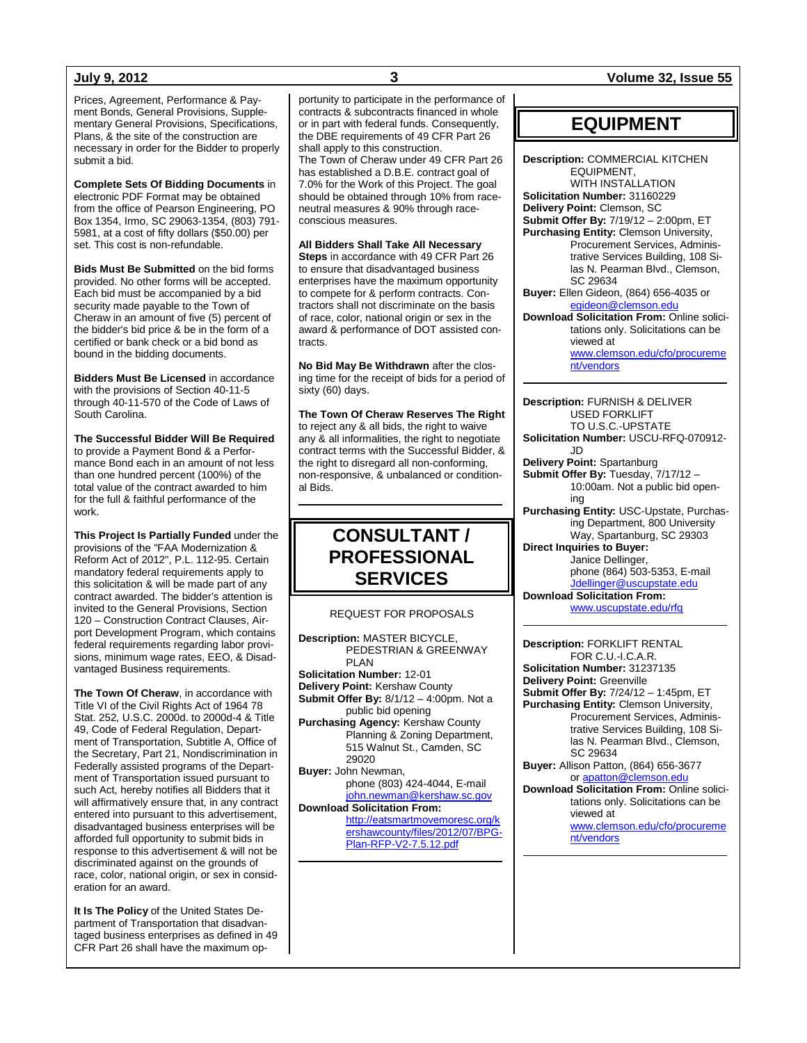Prices, Agreement, Performance & Payment Bonds, General Provisions, Supplementary General Provisions, Specifications, Plans, & the site of the construction are necessary in order for the Bidder to properly submit a bid.

**Complete Sets Of Bidding Documents** in electronic PDF Format may be obtained from the office of Pearson Engineering, PO Box 1354, Irmo, SC 29063-1354, (803) 791- 5981, at a cost of fifty dollars (\$50.00) per set. This cost is non-refundable.

**Bids Must Be Submitted** on the bid forms provided. No other forms will be accepted. Each bid must be accompanied by a bid security made payable to the Town of Cheraw in an amount of five (5) percent of the bidder's bid price & be in the form of a certified or bank check or a bid bond as bound in the bidding documents.

**Bidders Must Be Licensed** in accordance with the provisions of Section 40-11-5 through 40-11-570 of the Code of Laws of South Carolina.

**The Successful Bidder Will Be Required** to provide a Payment Bond & a Performance Bond each in an amount of not less than one hundred percent (100%) of the total value of the contract awarded to him for the full & faithful performance of the work.

**This Project Is Partially Funded** under the provisions of the "FAA Modernization & Reform Act of 2012", P.L. 112-95. Certain mandatory federal requirements apply to this solicitation & will be made part of any contract awarded. The bidder's attention is invited to the General Provisions, Section 120 – Construction Contract Clauses, Airport Development Program, which contains federal requirements regarding labor provisions, minimum wage rates, EEO, & Disadvantaged Business requirements.

**The Town Of Cheraw**, in accordance with Title VI of the Civil Rights Act of 1964 78 Stat. 252, U.S.C. 2000d. to 2000d-4 & Title 49, Code of Federal Regulation, Department of Transportation, Subtitle A, Office of the Secretary, Part 21, Nondiscrimination in Federally assisted programs of the Department of Transportation issued pursuant to such Act, hereby notifies all Bidders that it will affirmatively ensure that, in any contract entered into pursuant to this advertisement, disadvantaged business enterprises will be afforded full opportunity to submit bids in response to this advertisement & will not be discriminated against on the grounds of race, color, national origin, or sex in consideration for an award.

**It Is The Policy** of the United States Department of Transportation that disadvantaged business enterprises as defined in 49 CFR Part 26 shall have the maximum op-

portunity to participate in the performance of contracts & subcontracts financed in whole or in part with federal funds. Consequently, the DBE requirements of 49 CFR Part 26 shall apply to this construction. The Town of Cheraw under 49 CFR Part 26 has established a D.B.E. contract goal of 7.0% for the Work of this Project. The goal should be obtained through 10% from raceneutral measures & 90% through raceconscious measures.

**All Bidders Shall Take All Necessary Steps** in accordance with 49 CFR Part 26 to ensure that disadvantaged business enterprises have the maximum opportunity to compete for & perform contracts. Contractors shall not discriminate on the basis of race, color, national origin or sex in the award & performance of DOT assisted con-

**No Bid May Be Withdrawn** after the closing time for the receipt of bids for a period of sixty (60) days.

tracts.

**The Town Of Cheraw Reserves The Right** to reject any & all bids, the right to waive any & all informalities, the right to negotiate contract terms with the Successful Bidder, & the right to disregard all non-conforming, non-responsive, & unbalanced or conditional Bids.

# **CONSULTANT / PROFESSIONAL SERVICES**

REQUEST FOR PROPOSALS

**Description:** MASTER BICYCLE, PEDESTRIAN & GREENWAY PLAN **Solicitation Number:** 12-01 **Delivery Point:** Kershaw County **Submit Offer By:** 8/1/12 – 4:00pm. Not a public bid opening **Purchasing Agency:** Kershaw County Planning & Zoning Department,

515 Walnut St., Camden, SC 29020 **Buyer:** John Newman,

phone (803) 424-4044, E-mail [john.newman@kershaw.sc.gov](mailto:john.newman@kershaw.sc.gov) **Download Solicitation From:**

[http://eatsmartmovemoresc.org/k](http://eatsmartmovemoresc.org/kershawcounty/files/2012/07/BPG-Plan-RFP-V2-7.5.12.pdf) [ershawcounty/files/2012/07/BPG-](http://eatsmartmovemoresc.org/kershawcounty/files/2012/07/BPG-Plan-RFP-V2-7.5.12.pdf)[Plan-RFP-V2-7.5.12.pdf](http://eatsmartmovemoresc.org/kershawcounty/files/2012/07/BPG-Plan-RFP-V2-7.5.12.pdf)

### **July 9, 2012 3 Volume 32, Issue 55**

## **EQUIPMENT**

**Description:** COMMERCIAL KITCHEN EQUIPMENT, WITH INSTALLATION **Solicitation Number:** 31160229 **Delivery Point:** Clemson, SC **Submit Offer By:** 7/19/12 – 2:00pm, ET **Purchasing Entity:** Clemson University, Procurement Services, Administrative Services Building, 108 Silas N. Pearman Blvd., Clemson, SC 29634 **Buyer:** Ellen Gideon, (864) 656-4035 or [egideon@clemson.edu](mailto:egideon@clemson.edu) **Download Solicitation From:** Online solicitations only. Solicitations can be viewed at [www.clemson.edu/cfo/procureme](http://www.clemson.edu/cfo/procurement/vendors) [nt/vendors](http://www.clemson.edu/cfo/procurement/vendors)

**Description:** FURNISH & DELIVER USED FORKLIFT TO U.S.C.-UPSTATE **Solicitation Number:** USCU-RFQ-070912- JD **Delivery Point:** Spartanburg **Submit Offer By:** Tuesday, 7/17/12 – 10:00am. Not a public bid opening **Purchasing Entity:** USC-Upstate, Purchasing Department, 800 University Way, Spartanburg, SC 29303 **Direct Inquiries to Buyer:** Janice Dellinger, phone (864) 503-5353, E-mail [Jdellinger@uscupstate.edu](mailto:Jdellinger@uscupstate.edu) **Download Solicitation From:** [www.uscupstate.edu/rfq](http://www.uscupstate.edu/rfq)

**Description:** FORKLIFT RENTAL FOR C.U.-I.C.A.R. **Solicitation Number:** 31237135 **Delivery Point:** Greenville **Submit Offer By:** 7/24/12 – 1:45pm, ET **Purchasing Entity:** Clemson University, Procurement Services, Administrative Services Building, 108 Silas N. Pearman Blvd., Clemson, SC 29634 **Buyer:** Allison Patton, (864) 656-3677 or [apatton@clemson.edu](mailto:apatton@clemson.edu) **Download Solicitation From:** Online solicitations only. Solicitations can be viewed at

[www.clemson.edu/cfo/procureme](http://www.clemson.edu/cfo/procurement/vendors) [nt/vendors](http://www.clemson.edu/cfo/procurement/vendors)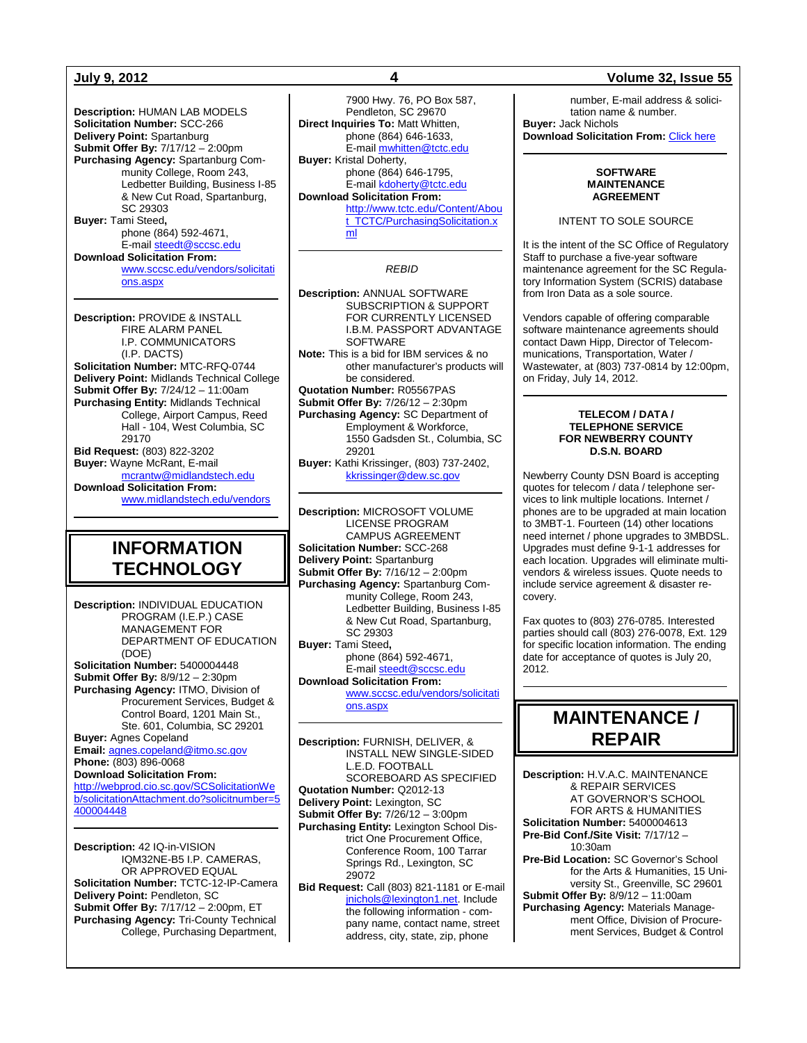**Description:** HUMAN LAB MODELS **Solicitation Number:** SCC-266 **Delivery Point:** Spartanburg **Submit Offer By:** 7/17/12 – 2:00pm **Purchasing Agency:** Spartanburg Community College, Room 243, Ledbetter Building, Business I-85 & New Cut Road, Spartanburg, SC 29303 **Buyer:** Tami Steed**,** phone (864) 592-4671, E-mail [steedt@sccsc.edu](mailto:steedt@sccsc.edu) **Download Solicitation From:** [www.sccsc.edu/vendors/solicitati](http://www.sccsc.edu/vendors/solicitations.aspx) [ons.aspx](http://www.sccsc.edu/vendors/solicitations.aspx)

**Description:** PROVIDE & INSTALL FIRE ALARM PANEL I.P. COMMUNICATORS (I.P. DACTS) **Solicitation Number:** MTC-RFQ-0744 **Delivery Point:** Midlands Technical College **Submit Offer By:** 7/24/12 – 11:00am **Purchasing Entity:** Midlands Technical College, Airport Campus, Reed Hall - 104, West Columbia, SC 29170 **Bid Request:** (803) 822-3202 **Buyer:** Wayne McRant, E-mail [mcrantw@midlandstech.edu](mailto:mcrantw@midlandstech.edu) **Download Solicitation From:**  [www.midlandstech.edu/vendors](http://www.midlandstech.edu/vendors)

# **INFORMATION TECHNOLOGY**

**Description:** INDIVIDUAL EDUCATION PROGRAM (I.E.P.) CASE MANAGEMENT FOR DEPARTMENT OF EDUCATION (DOE) **Solicitation Number:** 5400004448 **Submit Offer By:** 8/9/12 – 2:30pm **Purchasing Agency:** ITMO, Division of Procurement Services, Budget &

Control Board, 1201 Main St., Ste. 601, Columbia, SC 29201 **Buyer:** Agnes Copeland

**Email:** [agnes.copeland@itmo.sc.gov](mailto:agnes.copeland@itmo.sc.gov) **Phone:** (803) 896-0068 **Download Solicitation From:**

[http://webprod.cio.sc.gov/SCSolicitationWe](http://webprod.cio.sc.gov/SCSolicitationWeb/solicitationAttachment.do?solicitnumber=5400004448) [b/solicitationAttachment.do?solicitnumber=5](http://webprod.cio.sc.gov/SCSolicitationWeb/solicitationAttachment.do?solicitnumber=5400004448) [400004448](http://webprod.cio.sc.gov/SCSolicitationWeb/solicitationAttachment.do?solicitnumber=5400004448)

**Description:** 42 IQ-in-VISION IQM32NE-B5 I.P. CAMERAS, OR APPROVED EQUAL **Solicitation Number:** TCTC-12-IP-Camera **Delivery Point:** Pendleton, SC **Submit Offer By:** 7/17/12 – 2:00pm, ET **Purchasing Agency:** Tri-County Technical College, Purchasing Department,

7900 Hwy. 76, PO Box 587, Pendleton, SC 29670 **Direct Inquiries To:** Matt Whitten, phone (864) 646-1633, E-mai[l mwhitten@tctc.edu](mailto:mwhitten@tctc.edu) **Buyer:** Kristal Doherty, phone (864) 646-1795, E-mail **kdoherty@tctc.edu Download Solicitation From:** [http://www.tctc.edu/Content/Abou](http://www.tctc.edu/Content/About_TCTC/PurchasingSolicitation.xml) [t\\_TCTC/PurchasingSolicitation.x](http://www.tctc.edu/Content/About_TCTC/PurchasingSolicitation.xml)

[ml](http://www.tctc.edu/Content/About_TCTC/PurchasingSolicitation.xml)

*REBID*

**Description:** ANNUAL SOFTWARE SUBSCRIPTION & SUPPORT FOR CURRENTLY LICENSED I.B.M. PASSPORT ADVANTAGE **SOFTWARE Note:** This is a bid for IBM services & no other manufacturer's products will be considered. **Quotation Number:** R05567PAS **Submit Offer By:** 7/26/12 – 2:30pm **Purchasing Agency:** SC Department of Employment & Workforce, 1550 Gadsden St., Columbia, SC 29201 **Buyer:** Kathi Krissinger, (803) 737-2402, [kkrissinger@dew.sc.gov](mailto:kkrissinger@dew.sc.gov)

**Description:** MICROSOFT VOLUME LICENSE PROGRAM CAMPUS AGREEMENT **Solicitation Number:** SCC-268 **Delivery Point:** Spartanburg **Submit Offer By:** 7/16/12 – 2:00pm **Purchasing Agency:** Spartanburg Community College, Room 243, Ledbetter Building, Business I-85 & New Cut Road, Spartanburg, SC 29303 **Buyer:** Tami Steed**,** phone (864) 592-4671, E-mai[l steedt@sccsc.edu](mailto:steedt@sccsc.edu) **Download Solicitation From:** [www.sccsc.edu/vendors/solicitati](http://www.sccsc.edu/vendors/solicitations.aspx)

[ons.aspx](http://www.sccsc.edu/vendors/solicitations.aspx)

**Description:** FURNISH, DELIVER, & INSTALL NEW SINGLE-SIDED L.E.D. FOOTBALL SCOREBOARD AS SPECIFIED **Quotation Number:** Q2012-13 **Delivery Point:** Lexington, SC **Submit Offer By:** 7/26/12 – 3:00pm **Purchasing Entity:** Lexington School District One Procurement Office, Conference Room, 100 Tarrar Springs Rd., Lexington, SC 29072 **Bid Request:** Call (803) 821-1181 or E-mail [jnichols@lexington1.net.](mailto:jnichols@lexington1.net) Include the following information - com-

pany name, contact name, street address, city, state, zip, phone

### **July 9, 2012 4 Volume 32, Issue 55**

number, E-mail address & solicitation name & number. **Buyer:** Jack Nichols **Download Solicitation From:** [Click here](http://www.lexington1.net/lexoneweb/index.aspx?page=FiscalServices/Procurement/Procurementsolicitawards.aspx)

#### **SOFTWARE MAINTENANCE AGREEMENT**

INTENT TO SOLE SOURCE

It is the intent of the SC Office of Regulatory Staff to purchase a five-year software maintenance agreement for the SC Regulatory Information System (SCRIS) database from Iron Data as a sole source.

Vendors capable of offering comparable software maintenance agreements should contact Dawn Hipp, Director of Telecommunications, Transportation, Water / Wastewater, at (803) 737-0814 by 12:00pm, on Friday, July 14, 2012.

#### **TELECOM / DATA / TELEPHONE SERVICE FOR NEWBERRY COUNTY D.S.N. BOARD**

Newberry County DSN Board is accepting quotes for telecom / data / telephone services to link multiple locations. Internet / phones are to be upgraded at main location to 3MBT-1. Fourteen (14) other locations need internet / phone upgrades to 3MBDSL. Upgrades must define 9-1-1 addresses for each location. Upgrades will eliminate multivendors & wireless issues. Quote needs to include service agreement & disaster recovery.

Fax quotes to (803) 276-0785. Interested parties should call (803) 276-0078, Ext. 129 for specific location information. The ending date for acceptance of quotes is July 20, 2012.

# **MAINTENANCE / REPAIR**

**Description:** H.V.A.C. MAINTENANCE & REPAIR SERVICES AT GOVERNOR'S SCHOOL FOR ARTS & HUMANITIES **Solicitation Number:** 5400004613 **Pre-Bid Conf./Site Visit:** 7/17/12 – 10:30am **Pre-Bid Location:** SC Governor's School for the Arts & Humanities, 15 University St., Greenville, SC 29601 **Submit Offer By:** 8/9/12 – 11:00am **Purchasing Agency:** Materials Management Office, Division of Procurement Services, Budget & Control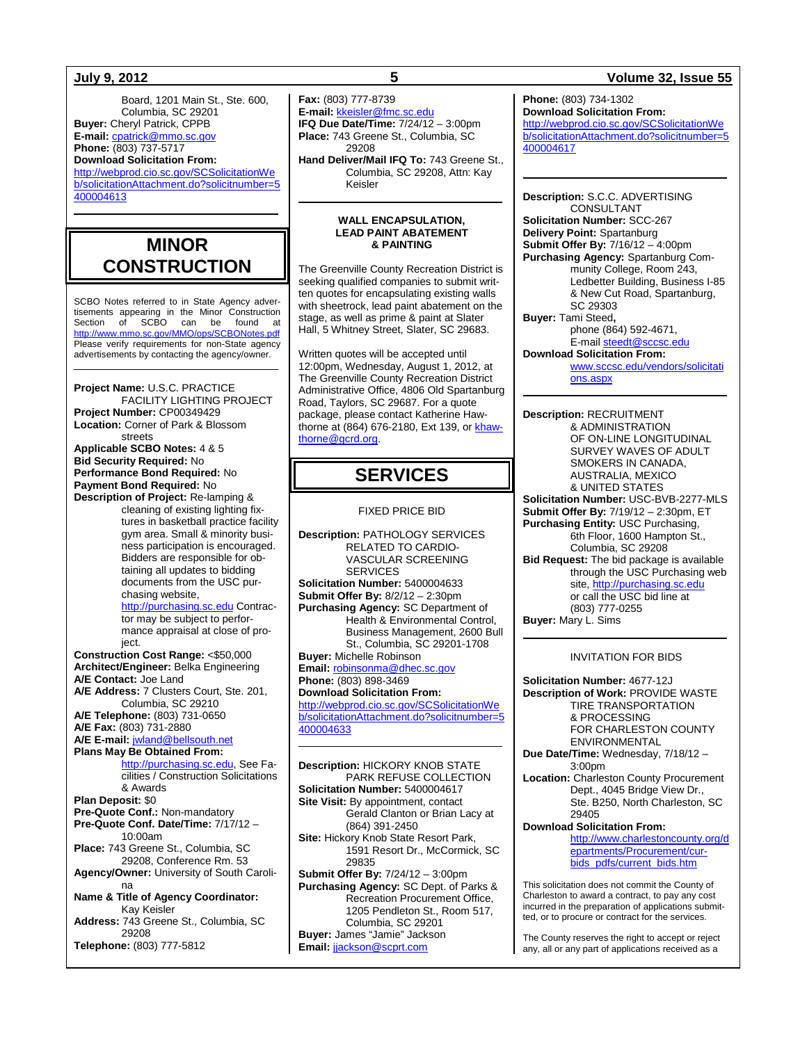Board, 1201 Main St., Ste. 600, Columbia, SC 29201 **Buyer:** Cheryl Patrick, CPPB **E-mail:** [cpatrick@mmo.sc.gov](mailto:cpatrick@mmo.sc.gov)

**Phone:** (803) 737-5717 **Download Solicitation From:**

[http://webprod.cio.sc.gov/SCSolicitationWe](http://webprod.cio.sc.gov/SCSolicitationWeb/solicitationAttachment.do?solicitnumber=5400004613) [b/solicitationAttachment.do?solicitnumber=5](http://webprod.cio.sc.gov/SCSolicitationWeb/solicitationAttachment.do?solicitnumber=5400004613) [400004613](http://webprod.cio.sc.gov/SCSolicitationWeb/solicitationAttachment.do?solicitnumber=5400004613)

# **MINOR CONSTRUCTION**

SCBO Notes referred to in State Agency advertisements appearing in the Minor Construction Section of SCBO can be found at http://www.mmo.sc.gov/MMO/ops/SCBONotes. Please verify requirements for non-State agency advertisements by contacting the agency/owner.

**Project Name:** U.S.C. PRACTICE FACILITY LIGHTING PROJECT **Project Number:** CP00349429 **Location:** Corner of Park & Blossom streets

**Applicable SCBO Notes:** 4 & 5 **Bid Security Required:** No **Performance Bond Required:** No **Payment Bond Required:** No **Description of Project:** Re-lamping &

> cleaning of existing lighting fixtures in basketball practice facility gym area. Small & minority business participation is encouraged. Bidders are responsible for obtaining all updates to bidding documents from the USC pur-

chasing website, [http://purchasing.sc.edu](http://purchasing.sc.edu/) Contractor may be subject to performance appraisal at close of project. **Construction Cost Range:** <\$50,000

**Architect/Engineer:** Belka Engineering **A/E Contact:** Joe Land **A/E Address:** 7 Clusters Court, Ste. 201,

Columbia, SC 29210 **A/E Telephone:** (803) 731-0650

**A/E Fax:** (803) 731-2880

**A/E E-mail:** [jwland@bellsouth.net](mailto:jwland@bellsouth.net)

**Plans May Be Obtained From:**

[http://purchasing.sc.edu,](http://purchasing.sc.edu/) See Facilities / Construction Solicitations & Awards **Plan Deposit:** \$0 **Pre-Quote Conf.:** Non-mandatory **Pre-Quote Conf. Date/Time:** 7/17/12 – 10:00am

**Place:** 743 Greene St., Columbia, SC 29208, Conference Rm. 53 **Agency/Owner:** University of South Caroli-

na **Name & Title of Agency Coordinator:** Kay Keisler **Address:** 743 Greene St., Columbia, SC 29208 **Telephone:** (803) 777-5812

**Fax:** (803) 777-8739 **E-mail:** [kkeisler@fmc.sc.edu](mailto:kkeisler@fmc.sc.edu) **IFQ Due Date/Time:** 7/24/12 – 3:00pm **Place:** 743 Greene St., Columbia, SC 29208

**Hand Deliver/Mail IFQ To:** 743 Greene St., Columbia, SC 29208, Attn: Kay Keisler

#### **WALL ENCAPSULATION, LEAD PAINT ABATEMENT & PAINTING**

The Greenville County Recreation District is seeking qualified companies to submit written quotes for encapsulating existing walls with sheetrock, lead paint abatement on the stage, as well as prime & paint at Slater Hall, 5 Whitney Street, Slater, SC 29683.

Written quotes will be accepted until 12:00pm, Wednesday, August 1, 2012, at The Greenville County Recreation District Administrative Office, 4806 Old Spartanburg Road, Taylors, SC 29687. For a quote package, please contact Katherine Hawthorne at (864) 676-2180, Ext 139, o[r khaw](mailto:khawthorne@gcrd.org)[thorne@gcrd.org.](mailto:khawthorne@gcrd.org)

# **SERVICES**

### FIXED PRICE BID

**Description:** PATHOLOGY SERVICES RELATED TO CARDIO-VASCULAR SCREENING SERVICES **Solicitation Number:** 5400004633 **Submit Offer By:** 8/2/12 – 2:30pm **Purchasing Agency:** SC Department of Health & Environmental Control, Business Management, 2600 Bull St., Columbia, SC 29201-1708 **Buyer:** Michelle Robinson **Email:** [robinsonma@dhec.sc.gov](mailto:robinsonma@dhec.sc.gov) **Phone:** (803) 898-3469 **Download Solicitation From:** [http://webprod.cio.sc.gov/SCSolicitationWe](http://webprod.cio.sc.gov/SCSolicitationWeb/solicitationAttachment.do?solicitnumber=5400004633) [b/solicitationAttachment.do?solicitnumber=5](http://webprod.cio.sc.gov/SCSolicitationWeb/solicitationAttachment.do?solicitnumber=5400004633) [400004633](http://webprod.cio.sc.gov/SCSolicitationWeb/solicitationAttachment.do?solicitnumber=5400004633) **Description:** HICKORY KNOB STATE

PARK REFUSE COLLECTION **Solicitation Number:** 5400004617 **Site Visit:** By appointment, contact Gerald Clanton or Brian Lacy at (864) 391-2450 **Site:** Hickory Knob State Resort Park, 1591 Resort Dr., McCormick, SC 29835 **Submit Offer By:** 7/24/12 – 3:00pm **Purchasing Agency:** SC Dept. of Parks & Recreation Procurement Office, 1205 Pendleton St., Room 517, Columbia, SC 29201 **Buyer:** James "Jamie" Jackson **Email:** [jjackson@scprt.com](mailto:jjackson@scprt.com)

### **July 9, 2012 5 Volume 32, Issue 55**

**Phone:** (803) 734-1302 **Download Solicitation From:** [http://webprod.cio.sc.gov/SCSolicitationWe](http://webprod.cio.sc.gov/SCSolicitationWeb/solicitationAttachment.do?solicitnumber=5400004617) [b/solicitationAttachment.do?solicitnumber=5](http://webprod.cio.sc.gov/SCSolicitationWeb/solicitationAttachment.do?solicitnumber=5400004617) [400004617](http://webprod.cio.sc.gov/SCSolicitationWeb/solicitationAttachment.do?solicitnumber=5400004617)

**Description:** S.C.C. ADVERTISING CONSULTANT **Solicitation Number:** SCC-267 **Delivery Point:** Spartanburg **Submit Offer By:** 7/16/12 – 4:00pm **Purchasing Agency:** Spartanburg Community College, Room 243, Ledbetter Building, Business I-85 & New Cut Road, Spartanburg, SC 29303 **Buyer:** Tami Steed**,** phone (864) 592-4671, E-mai[l steedt@sccsc.edu](mailto:steedt@sccsc.edu) **Download Solicitation From:** [www.sccsc.edu/vendors/solicitati](http://www.sccsc.edu/vendors/solicitations.aspx)

[ons.aspx](http://www.sccsc.edu/vendors/solicitations.aspx)

**Description:** RECRUITMENT & ADMINISTRATION OF ON-LINE LONGITUDINAL SURVEY WAVES OF ADULT SMOKERS IN CANADA, AUSTRALIA, MEXICO & UNITED STATES **Solicitation Number:** USC-BVB-2277-MLS **Submit Offer By:** 7/19/12 – 2:30pm, ET **Purchasing Entity:** USC Purchasing, 6th Floor, 1600 Hampton St., Columbia, SC 29208 **Bid Request:** The bid package is available through the USC Purchasing web site[, http://purchasing.sc.edu](http://purchasing.sc.edu/) or call the USC bid line at (803) 777-0255 **Buyer:** Mary L. Sims

#### INVITATION FOR BIDS

**Solicitation Number:** 4677-12J **Description of Work:** PROVIDE WASTE TIRE TRANSPORTATION & PROCESSING FOR CHARLESTON COUNTY ENVIRONMENTAL **Due Date/Time:** Wednesday, 7/18/12 –  $3:00$ pm

**Location:** Charleston County Procurement Dept., 4045 Bridge View Dr., Ste. B250, North Charleston, SC 29405

### **Download Solicitation From:**

[http://www.charlestoncounty.org/d](http://www.charlestoncounty.org/departments/Procurement/cur-bids_pdfs/current_bids.htm) [epartments/Procurement/cur](http://www.charlestoncounty.org/departments/Procurement/cur-bids_pdfs/current_bids.htm)[bids\\_pdfs/current\\_bids.htm](http://www.charlestoncounty.org/departments/Procurement/cur-bids_pdfs/current_bids.htm)

This solicitation does not commit the County of Charleston to award a contract, to pay any cost incurred in the preparation of applications submitted, or to procure or contract for the services.

The County reserves the right to accept or reject any, all or any part of applications received as a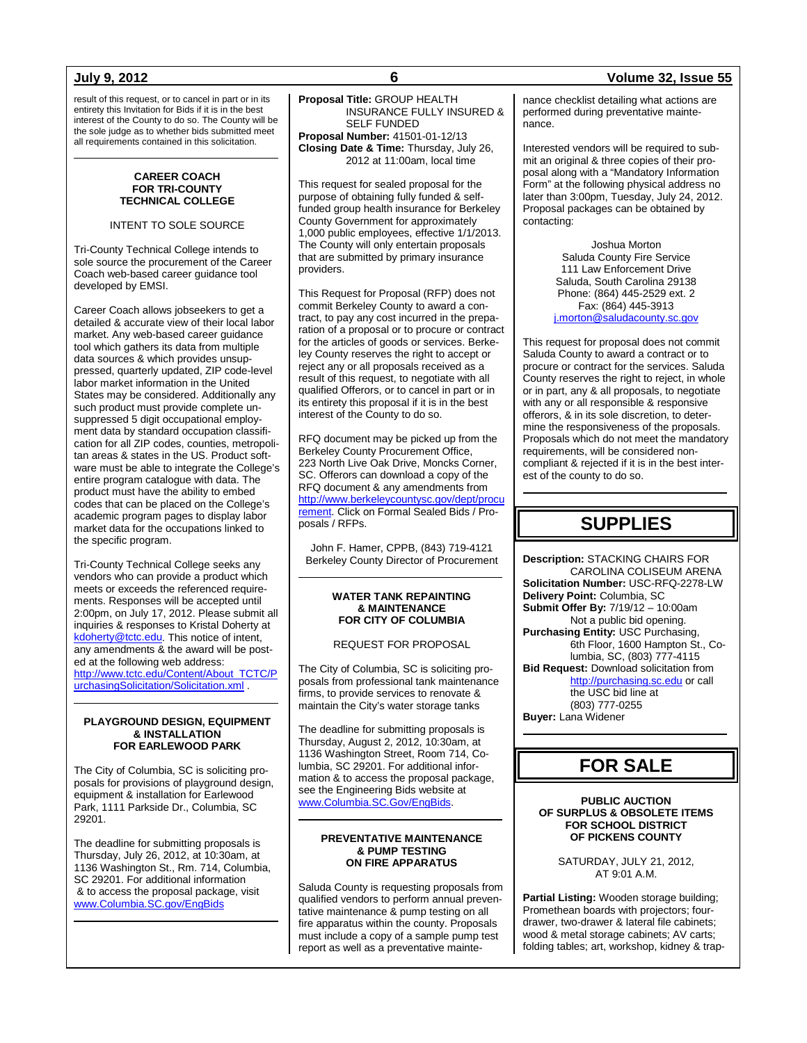result of this request, or to cancel in part or in its entirety this Invitation for Bids if it is in the best interest of the County to do so. The County will be the sole judge as to whether bids submitted meet all requirements contained in this solicitation.

#### **CAREER COACH FOR TRI-COUNTY TECHNICAL COLLEGE**

INTENT TO SOLE SOURCE

Tri-County Technical College intends to sole source the procurement of the Career Coach web-based career guidance tool developed by EMSI.

Career Coach allows jobseekers to get a detailed & accurate view of their local labor market. Any web-based career guidance tool which gathers its data from multiple data sources & which provides unsuppressed, quarterly updated, ZIP code-level labor market information in the United States may be considered. Additionally any such product must provide complete unsuppressed 5 digit occupational employment data by standard occupation classification for all ZIP codes, counties, metropolitan areas & states in the US. Product software must be able to integrate the College's entire program catalogue with data. The product must have the ability to embed codes that can be placed on the College's academic program pages to display labor market data for the occupations linked to the specific program.

Tri-County Technical College seeks any vendors who can provide a product which meets or exceeds the referenced requirements. Responses will be accepted until 2:00pm, on July 17, 2012. Please submit all inquiries & responses to Kristal Doherty at [kdoherty@tctc.edu.](mailto:kdoherty@tctc.edu) This notice of intent, any amendments & the award will be posted at the following web address: [http://www.tctc.edu/Content/About\\_TCTC/P](http://www.tctc.edu/Content/About_TCTC/PurchasingSolicitation/Solicitation.xml) [urchasingSolicitation/Solicitation.xml](http://www.tctc.edu/Content/About_TCTC/PurchasingSolicitation/Solicitation.xml) .

#### **PLAYGROUND DESIGN, EQUIPMENT & INSTALLATION FOR EARLEWOOD PARK**

The City of Columbia, SC is soliciting proposals for provisions of playground design, equipment & installation for Earlewood Park, 1111 Parkside Dr., Columbia, SC 29201.

The deadline for submitting proposals is Thursday, July 26, 2012, at 10:30am, at 1136 Washington St., Rm. 714, Columbia, SC 29201. For additional information & to access the proposal package, visit [www.Columbia.SC.gov/EngBids](http://www.columbia.sc.gov/EngBids)

**Proposal Title:** GROUP HEALTH INSURANCE FULLY INSURED & SELF FUNDED **Proposal Number:** 41501-01-12/13 **Closing Date & Time:** Thursday, July 26, 2012 at 11:00am, local time

This request for sealed proposal for the purpose of obtaining fully funded & selffunded group health insurance for Berkeley County Government for approximately 1,000 public employees, effective 1/1/2013. The County will only entertain proposals that are submitted by primary insurance providers.

This Request for Proposal (RFP) does not commit Berkeley County to award a contract, to pay any cost incurred in the preparation of a proposal or to procure or contract for the articles of goods or services. Berkeley County reserves the right to accept or reject any or all proposals received as a result of this request, to negotiate with all qualified Offerors, or to cancel in part or in its entirety this proposal if it is in the best interest of the County to do so.

RFQ document may be picked up from the Berkeley County Procurement Office, 223 North Live Oak Drive, Moncks Corner, SC. Offerors can download a copy of the RFQ document & any amendments from [http://www.berkeleycountysc.gov/dept/procu](http://www.berkeleycountysc.gov/dept/procurement) [rement.](http://www.berkeleycountysc.gov/dept/procurement) Click on Formal Sealed Bids / Proposals / RFPs.

John F. Hamer, CPPB, (843) 719-4121 Berkeley County Director of Procurement

#### **WATER TANK REPAINTING & MAINTENANCE FOR CITY OF COLUMBIA**

### REQUEST FOR PROPOSAL

The City of Columbia, SC is soliciting proposals from professional tank maintenance firms, to provide services to renovate & maintain the City's water storage tanks

The deadline for submitting proposals is Thursday, August 2, 2012, 10:30am, at 1136 Washington Street, Room 714, Columbia, SC 29201. For additional information & to access the proposal package, see the Engineering Bids website at [www.Columbia.SC.Gov/EngBids.](http://www.columbia.sc.gov/EngBids)

#### **PREVENTATIVE MAINTENANCE & PUMP TESTING ON FIRE APPARATUS**

Saluda County is requesting proposals from qualified vendors to perform annual preventative maintenance & pump testing on all fire apparatus within the county. Proposals must include a copy of a sample pump test report as well as a preventative mainte-

### **July 9, 2012 6 Volume 32, Issue 55**

nance checklist detailing what actions are performed during preventative maintenance.

Interested vendors will be required to submit an original & three copies of their proposal along with a "Mandatory Information Form" at the following physical address no later than 3:00pm, Tuesday, July 24, 2012. Proposal packages can be obtained by contacting:

> Joshua Morton Saluda County Fire Service 111 Law Enforcement Drive Saluda, South Carolina 29138 Phone: (864) 445-2529 ext. 2 Fax: (864) 445-3913 [j.morton@saludacounty.sc.gov](mailto:j.morton@saludacounty.sc.gov)

This request for proposal does not commit Saluda County to award a contract or to procure or contract for the services. Saluda County reserves the right to reject, in whole or in part, any & all proposals, to negotiate with any or all responsible & responsive offerors, & in its sole discretion, to determine the responsiveness of the proposals. Proposals which do not meet the mandatory requirements, will be considered noncompliant & rejected if it is in the best interest of the county to do so.

# **SUPPLIES**

**Description:** STACKING CHAIRS FOR CAROLINA COLISEUM ARENA **Solicitation Number:** USC-RFQ-2278-LW **Delivery Point:** Columbia, SC **Submit Offer By:** 7/19/12 – 10:00am Not a public bid opening. **Purchasing Entity:** USC Purchasing, 6th Floor, 1600 Hampton St., Columbia, SC, (803) 777-4115 **Bid Request:** Download solicitation from [http://purchasing.sc.edu](http://purchasing.sc.edu/) or call the USC bid line at (803) 777-0255 **Buyer:** Lana Widener

# **FOR SALE**

#### **PUBLIC AUCTION OF SURPLUS & OBSOLETE ITEMS FOR SCHOOL DISTRICT OF PICKENS COUNTY**

SATURDAY, JULY 21, 2012, AT 9:01 A.M.

**Partial Listing:** Wooden storage building; Promethean boards with projectors; fourdrawer, two-drawer & lateral file cabinets; wood & metal storage cabinets; AV carts; folding tables; art, workshop, kidney & trap-